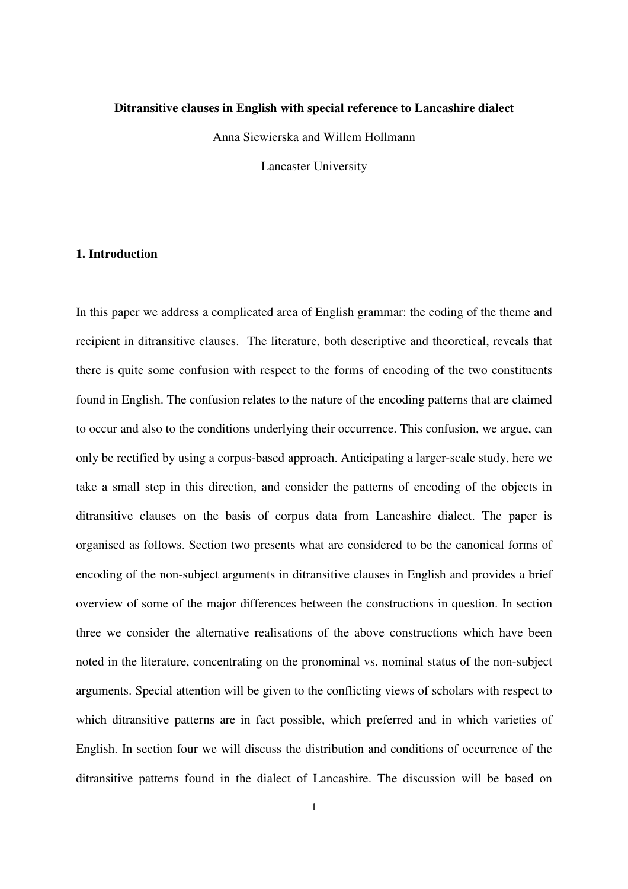#### **Ditransitive clauses in English with special reference to Lancashire dialect**

Anna Siewierska and Willem Hollmann

Lancaster University

### **1. Introduction**

In this paper we address a complicated area of English grammar: the coding of the theme and recipient in ditransitive clauses. The literature, both descriptive and theoretical, reveals that there is quite some confusion with respect to the forms of encoding of the two constituents found in English. The confusion relates to the nature of the encoding patterns that are claimed to occur and also to the conditions underlying their occurrence. This confusion, we argue, can only be rectified by using a corpus-based approach. Anticipating a larger-scale study, here we take a small step in this direction, and consider the patterns of encoding of the objects in ditransitive clauses on the basis of corpus data from Lancashire dialect. The paper is organised as follows. Section two presents what are considered to be the canonical forms of encoding of the non-subject arguments in ditransitive clauses in English and provides a brief overview of some of the major differences between the constructions in question. In section three we consider the alternative realisations of the above constructions which have been noted in the literature, concentrating on the pronominal vs. nominal status of the non-subject arguments. Special attention will be given to the conflicting views of scholars with respect to which ditransitive patterns are in fact possible, which preferred and in which varieties of English. In section four we will discuss the distribution and conditions of occurrence of the ditransitive patterns found in the dialect of Lancashire. The discussion will be based on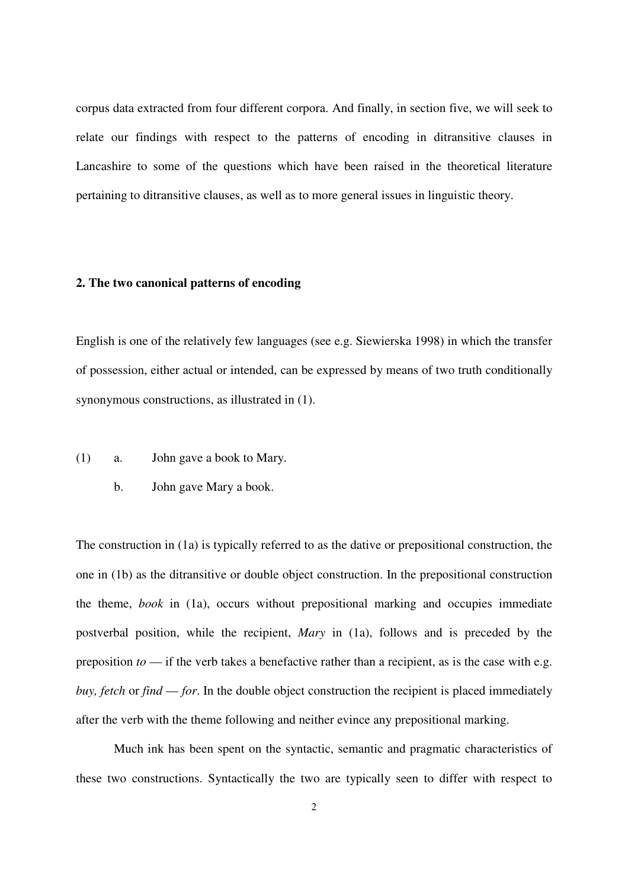corpus data extracted from four different corpora. And finally, in section five, we will seek to relate our findings with respect to the patterns of encoding in ditransitive clauses in Lancashire to some of the questions which have been raised in the theoretical literature pertaining to ditransitive clauses, as well as to more general issues in linguistic theory.

## **2. The two canonical patterns of encoding**

English is one of the relatively few languages (see e.g. Siewierska 1998) in which the transfer of possession, either actual or intended, can be expressed by means of two truth conditionally synonymous constructions, as illustrated in (1).

- (1) a. John gave a book to Mary.
	- b. John gave Mary a book.

The construction in (1a) is typically referred to as the dative or prepositional construction, the one in (1b) as the ditransitive or double object construction. In the prepositional construction the theme, *book* in (1a), occurs without prepositional marking and occupies immediate postverbal position, while the recipient, *Mary* in (1a), follows and is preceded by the preposition  $to$  — if the verb takes a benefactive rather than a recipient, as is the case with e.g. *buy, fetch* or *find* — *for*. In the double object construction the recipient is placed immediately after the verb with the theme following and neither evince any prepositional marking.

Much ink has been spent on the syntactic, semantic and pragmatic characteristics of these two constructions. Syntactically the two are typically seen to differ with respect to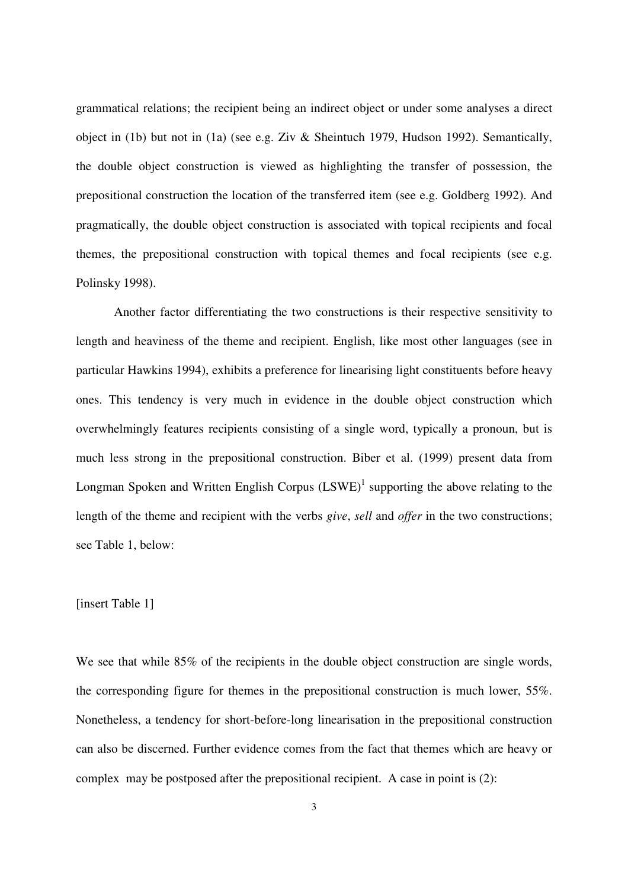grammatical relations; the recipient being an indirect object or under some analyses a direct object in (1b) but not in (1a) (see e.g. Ziv & Sheintuch 1979, Hudson 1992). Semantically, the double object construction is viewed as highlighting the transfer of possession, the prepositional construction the location of the transferred item (see e.g. Goldberg 1992). And pragmatically, the double object construction is associated with topical recipients and focal themes, the prepositional construction with topical themes and focal recipients (see e.g. Polinsky 1998).

Another factor differentiating the two constructions is their respective sensitivity to length and heaviness of the theme and recipient. English, like most other languages (see in particular Hawkins 1994), exhibits a preference for linearising light constituents before heavy ones. This tendency is very much in evidence in the double object construction which overwhelmingly features recipients consisting of a single word, typically a pronoun, but is much less strong in the prepositional construction. Biber et al. (1999) present data from Longman Spoken and Written English Corpus  $(LSWE)^{1}$  supporting the above relating to the length of the theme and recipient with the verbs *give*, *sell* and *offer* in the two constructions; see Table 1, below:

### [insert Table 1]

We see that while 85% of the recipients in the double object construction are single words, the corresponding figure for themes in the prepositional construction is much lower, 55%. Nonetheless, a tendency for short-before-long linearisation in the prepositional construction can also be discerned. Further evidence comes from the fact that themes which are heavy or complex may be postposed after the prepositional recipient. A case in point is (2):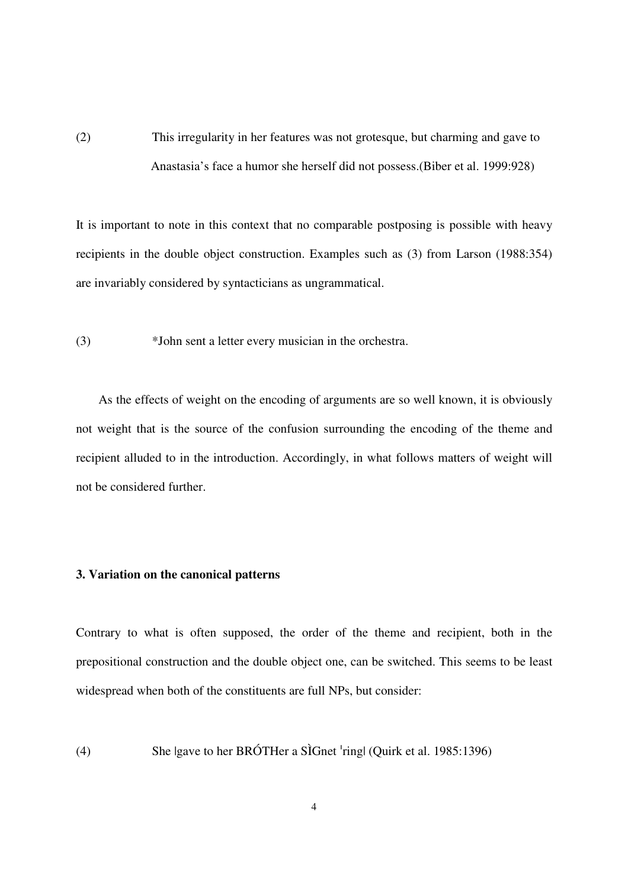(2) This irregularity in her features was not grotesque, but charming and gave to Anastasia's face a humor she herself did not possess.(Biber et al. 1999:928)

It is important to note in this context that no comparable postposing is possible with heavy recipients in the double object construction. Examples such as (3) from Larson (1988:354) are invariably considered by syntacticians as ungrammatical.

(3) \*John sent a letter every musician in the orchestra.

As the effects of weight on the encoding of arguments are so well known, it is obviously not weight that is the source of the confusion surrounding the encoding of the theme and recipient alluded to in the introduction. Accordingly, in what follows matters of weight will not be considered further.

## **3. Variation on the canonical patterns**

Contrary to what is often supposed, the order of the theme and recipient, both in the prepositional construction and the double object one, can be switched. This seems to be least widespread when both of the constituents are full NPs, but consider:

(4) She lgave to her BRÓTHer a SÌGnet ringl (Quirk et al. 1985:1396)

4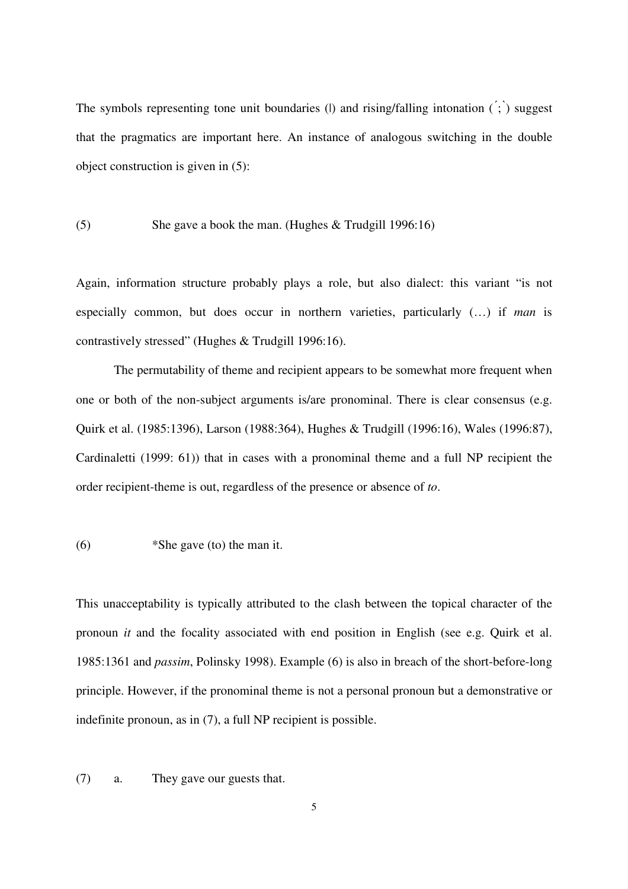The symbols representing tone unit boundaries (I) and rising/falling intonation  $\overrightarrow{(\cdot)}$  suggest that the pragmatics are important here. An instance of analogous switching in the double object construction is given in (5):

(5) She gave a book the man. (Hughes & Trudgill 1996:16)

Again, information structure probably plays a role, but also dialect: this variant "is not especially common, but does occur in northern varieties, particularly (…) if *man* is contrastively stressed" (Hughes & Trudgill 1996:16).

The permutability of theme and recipient appears to be somewhat more frequent when one or both of the non-subject arguments is/are pronominal. There is clear consensus (e.g. Quirk et al. (1985:1396), Larson (1988:364), Hughes & Trudgill (1996:16), Wales (1996:87), Cardinaletti (1999: 61)) that in cases with a pronominal theme and a full NP recipient the order recipient-theme is out, regardless of the presence or absence of *to*.

### (6) \*She gave (to) the man it.

This unacceptability is typically attributed to the clash between the topical character of the pronoun *it* and the focality associated with end position in English (see e.g. Quirk et al. 1985:1361 and *passim*, Polinsky 1998). Example (6) is also in breach of the short-before-long principle. However, if the pronominal theme is not a personal pronoun but a demonstrative or indefinite pronoun, as in (7), a full NP recipient is possible.

(7) a. They gave our guests that.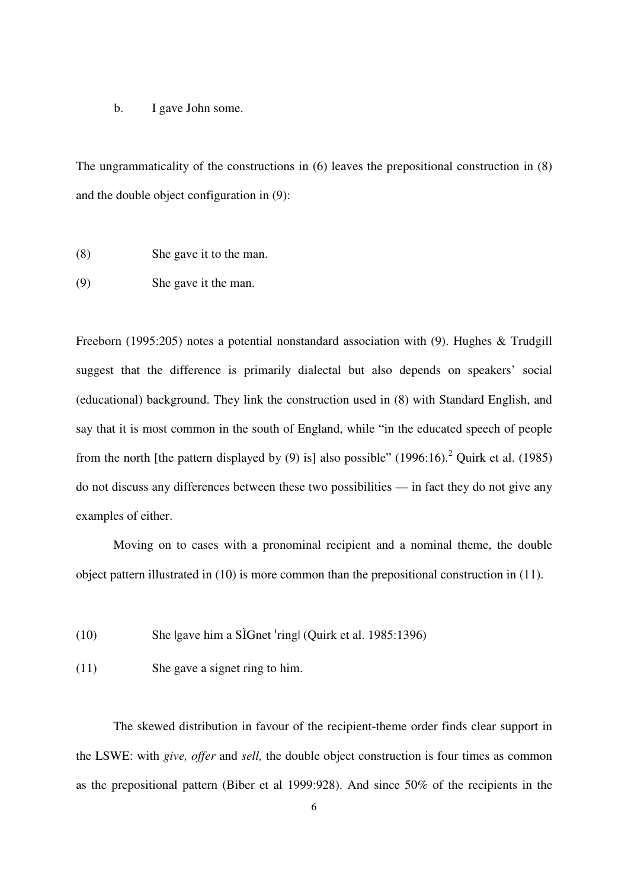#### b. I gave John some.

The ungrammaticality of the constructions in (6) leaves the prepositional construction in (8) and the double object configuration in (9):

- (8) She gave it to the man.
- (9) She gave it the man.

Freeborn (1995:205) notes a potential nonstandard association with (9). Hughes & Trudgill suggest that the difference is primarily dialectal but also depends on speakers' social (educational) background. They link the construction used in (8) with Standard English, and say that it is most common in the south of England, while "in the educated speech of people from the north [the pattern displayed by (9) is] also possible"  $(1996:16)$ .<sup>2</sup> Quirk et al. (1985) do not discuss any differences between these two possibilities — in fact they do not give any examples of either.

Moving on to cases with a pronominal recipient and a nominal theme, the double object pattern illustrated in (10) is more common than the prepositional construction in (11).

- (10) She  $\ell$ gave him a State ring (Quirk et al. 1985:1396)
- (11) She gave a signet ring to him.

The skewed distribution in favour of the recipient-theme order finds clear support in the LSWE: with *give, offer* and *sell,* the double object construction is four times as common as the prepositional pattern (Biber et al 1999:928). And since 50% of the recipients in the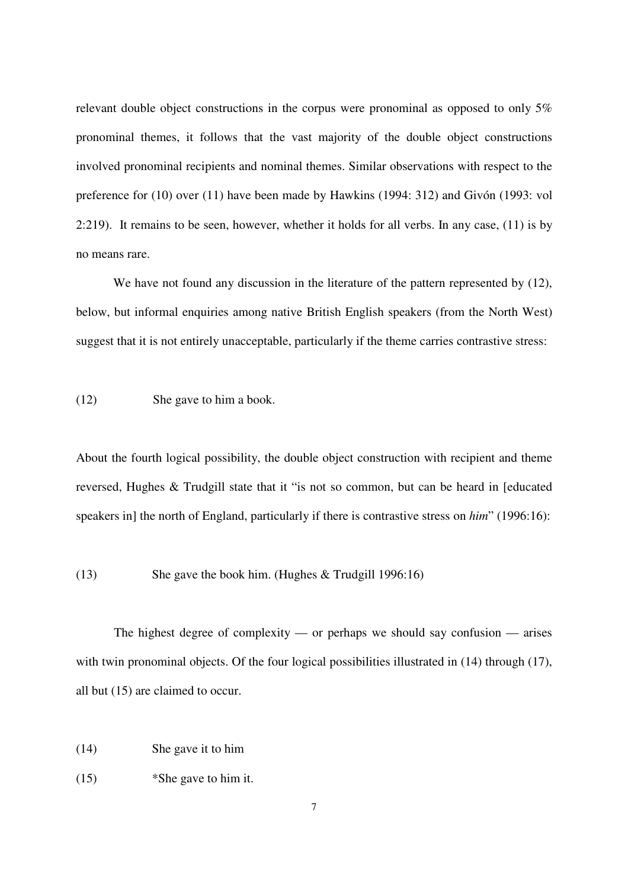relevant double object constructions in the corpus were pronominal as opposed to only 5% pronominal themes, it follows that the vast majority of the double object constructions involved pronominal recipients and nominal themes. Similar observations with respect to the preference for (10) over (11) have been made by Hawkins (1994: 312) and Givón (1993: vol 2:219). It remains to be seen, however, whether it holds for all verbs. In any case, (11) is by no means rare.

We have not found any discussion in the literature of the pattern represented by (12), below, but informal enquiries among native British English speakers (from the North West) suggest that it is not entirely unacceptable, particularly if the theme carries contrastive stress:

### (12) She gave to him a book.

About the fourth logical possibility, the double object construction with recipient and theme reversed, Hughes & Trudgill state that it "is not so common, but can be heard in [educated speakers in] the north of England, particularly if there is contrastive stress on *him*" (1996:16):

#### (13) She gave the book him. (Hughes & Trudgill 1996:16)

The highest degree of complexity — or perhaps we should say confusion — arises with twin pronominal objects. Of the four logical possibilities illustrated in  $(14)$  through  $(17)$ , all but (15) are claimed to occur.

- (14) She gave it to him
- (15) \*She gave to him it.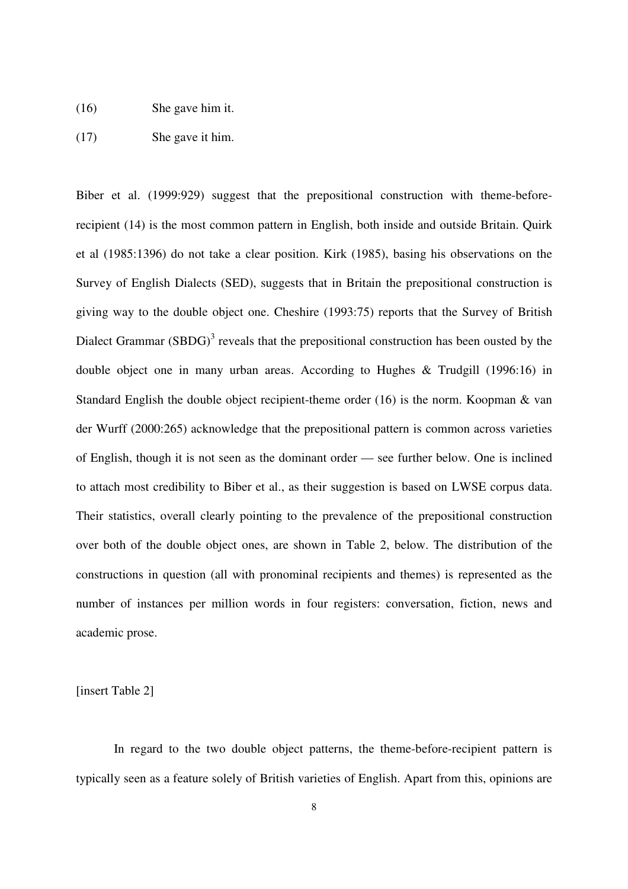(16) She gave him it.

#### (17) She gave it him.

Biber et al. (1999:929) suggest that the prepositional construction with theme-beforerecipient (14) is the most common pattern in English, both inside and outside Britain. Quirk et al (1985:1396) do not take a clear position. Kirk (1985), basing his observations on the Survey of English Dialects (SED), suggests that in Britain the prepositional construction is giving way to the double object one. Cheshire (1993:75) reports that the Survey of British Dialect Grammar (SBDG)<sup>3</sup> reveals that the prepositional construction has been ousted by the double object one in many urban areas. According to Hughes & Trudgill (1996:16) in Standard English the double object recipient-theme order (16) is the norm. Koopman & van der Wurff (2000:265) acknowledge that the prepositional pattern is common across varieties of English, though it is not seen as the dominant order — see further below. One is inclined to attach most credibility to Biber et al., as their suggestion is based on LWSE corpus data. Their statistics, overall clearly pointing to the prevalence of the prepositional construction over both of the double object ones, are shown in Table 2, below. The distribution of the constructions in question (all with pronominal recipients and themes) is represented as the number of instances per million words in four registers: conversation, fiction, news and academic prose.

[insert Table 2]

In regard to the two double object patterns, the theme-before-recipient pattern is typically seen as a feature solely of British varieties of English. Apart from this, opinions are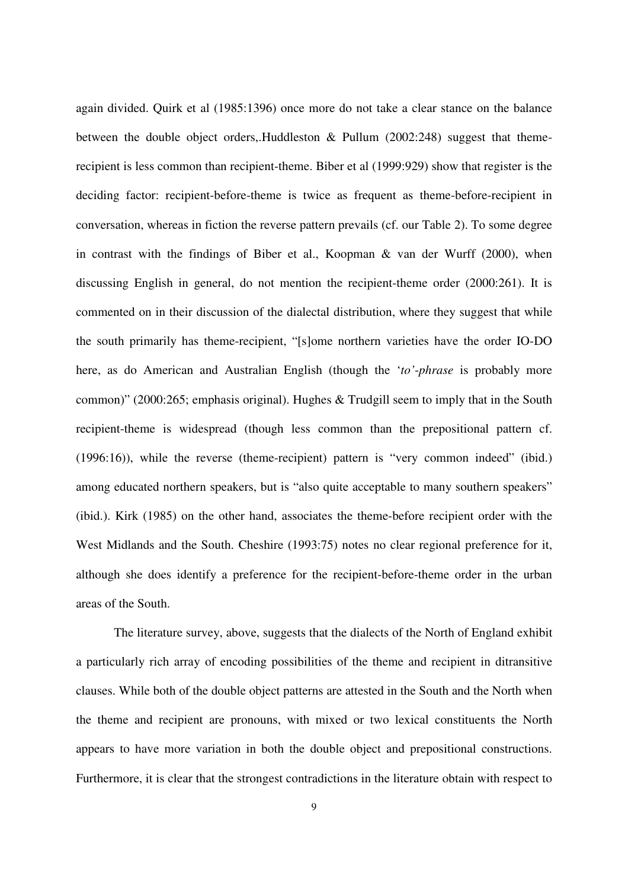again divided. Quirk et al (1985:1396) once more do not take a clear stance on the balance between the double object orders,.Huddleston & Pullum (2002:248) suggest that themerecipient is less common than recipient-theme. Biber et al (1999:929) show that register is the deciding factor: recipient-before-theme is twice as frequent as theme-before-recipient in conversation, whereas in fiction the reverse pattern prevails (cf. our Table 2). To some degree in contrast with the findings of Biber et al., Koopman & van der Wurff (2000), when discussing English in general, do not mention the recipient-theme order (2000:261). It is commented on in their discussion of the dialectal distribution, where they suggest that while the south primarily has theme-recipient, "[s]ome northern varieties have the order IO-DO here, as do American and Australian English (though the '*to'*-*phrase* is probably more common)" (2000:265; emphasis original). Hughes & Trudgill seem to imply that in the South recipient-theme is widespread (though less common than the prepositional pattern cf. (1996:16)), while the reverse (theme-recipient) pattern is "very common indeed" (ibid.) among educated northern speakers, but is "also quite acceptable to many southern speakers" (ibid.). Kirk (1985) on the other hand, associates the theme-before recipient order with the West Midlands and the South. Cheshire (1993:75) notes no clear regional preference for it, although she does identify a preference for the recipient-before-theme order in the urban areas of the South.

The literature survey, above, suggests that the dialects of the North of England exhibit a particularly rich array of encoding possibilities of the theme and recipient in ditransitive clauses. While both of the double object patterns are attested in the South and the North when the theme and recipient are pronouns, with mixed or two lexical constituents the North appears to have more variation in both the double object and prepositional constructions. Furthermore, it is clear that the strongest contradictions in the literature obtain with respect to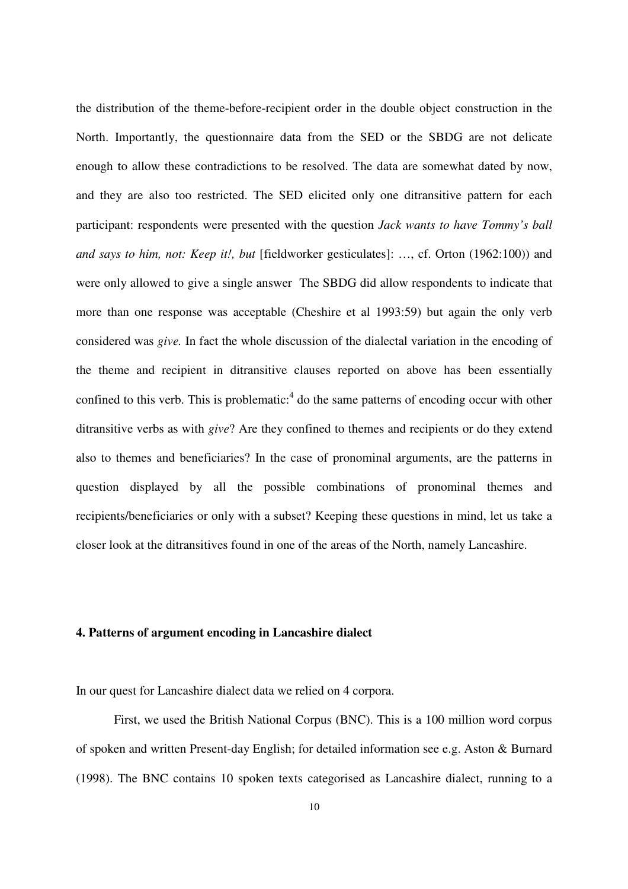the distribution of the theme-before-recipient order in the double object construction in the North. Importantly, the questionnaire data from the SED or the SBDG are not delicate enough to allow these contradictions to be resolved. The data are somewhat dated by now, and they are also too restricted. The SED elicited only one ditransitive pattern for each participant: respondents were presented with the question *Jack wants to have Tommy's ball and says to him, not: Keep it!, but* [fieldworker gesticulates]: …, cf. Orton (1962:100)) and were only allowed to give a single answer The SBDG did allow respondents to indicate that more than one response was acceptable (Cheshire et al 1993:59) but again the only verb considered was *give.* In fact the whole discussion of the dialectal variation in the encoding of the theme and recipient in ditransitive clauses reported on above has been essentially confined to this verb. This is problematic:<sup>4</sup> do the same patterns of encoding occur with other ditransitive verbs as with *give*? Are they confined to themes and recipients or do they extend also to themes and beneficiaries? In the case of pronominal arguments, are the patterns in question displayed by all the possible combinations of pronominal themes and recipients/beneficiaries or only with a subset? Keeping these questions in mind, let us take a closer look at the ditransitives found in one of the areas of the North, namely Lancashire.

# **4. Patterns of argument encoding in Lancashire dialect**

In our quest for Lancashire dialect data we relied on 4 corpora.

First, we used the British National Corpus (BNC). This is a 100 million word corpus of spoken and written Present-day English; for detailed information see e.g. Aston & Burnard (1998). The BNC contains 10 spoken texts categorised as Lancashire dialect, running to a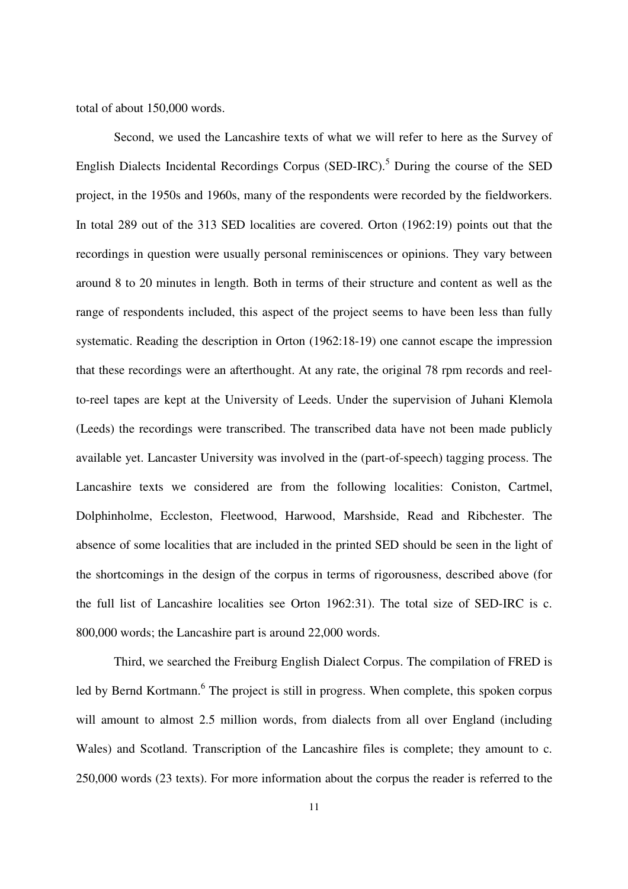total of about 150,000 words.

Second, we used the Lancashire texts of what we will refer to here as the Survey of English Dialects Incidental Recordings Corpus (SED-IRC).<sup>5</sup> During the course of the SED project, in the 1950s and 1960s, many of the respondents were recorded by the fieldworkers. In total 289 out of the 313 SED localities are covered. Orton (1962:19) points out that the recordings in question were usually personal reminiscences or opinions. They vary between around 8 to 20 minutes in length. Both in terms of their structure and content as well as the range of respondents included, this aspect of the project seems to have been less than fully systematic. Reading the description in Orton (1962:18-19) one cannot escape the impression that these recordings were an afterthought. At any rate, the original 78 rpm records and reelto-reel tapes are kept at the University of Leeds. Under the supervision of Juhani Klemola (Leeds) the recordings were transcribed. The transcribed data have not been made publicly available yet. Lancaster University was involved in the (part-of-speech) tagging process. The Lancashire texts we considered are from the following localities: Coniston, Cartmel, Dolphinholme, Eccleston, Fleetwood, Harwood, Marshside, Read and Ribchester. The absence of some localities that are included in the printed SED should be seen in the light of the shortcomings in the design of the corpus in terms of rigorousness, described above (for the full list of Lancashire localities see Orton 1962:31). The total size of SED-IRC is c. 800,000 words; the Lancashire part is around 22,000 words.

Third, we searched the Freiburg English Dialect Corpus. The compilation of FRED is led by Bernd Kortmann.<sup>6</sup> The project is still in progress. When complete, this spoken corpus will amount to almost 2.5 million words, from dialects from all over England (including Wales) and Scotland. Transcription of the Lancashire files is complete; they amount to c. 250,000 words (23 texts). For more information about the corpus the reader is referred to the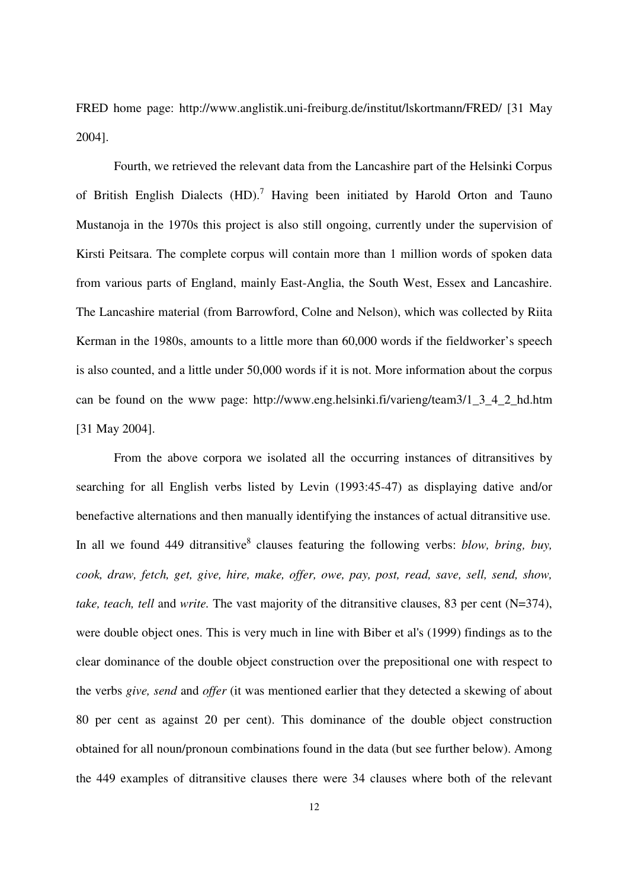FRED home page: http://www.anglistik.uni-freiburg.de/institut/lskortmann/FRED/ [31 May 2004].

Fourth, we retrieved the relevant data from the Lancashire part of the Helsinki Corpus of British English Dialects (HD).<sup>7</sup> Having been initiated by Harold Orton and Tauno Mustanoja in the 1970s this project is also still ongoing, currently under the supervision of Kirsti Peitsara. The complete corpus will contain more than 1 million words of spoken data from various parts of England, mainly East-Anglia, the South West, Essex and Lancashire. The Lancashire material (from Barrowford, Colne and Nelson), which was collected by Riita Kerman in the 1980s, amounts to a little more than 60,000 words if the fieldworker's speech is also counted, and a little under 50,000 words if it is not. More information about the corpus can be found on the www page: http://www.eng.helsinki.fi/varieng/team3/1\_3\_4\_2\_hd.htm [31 May 2004].

From the above corpora we isolated all the occurring instances of ditransitives by searching for all English verbs listed by Levin (1993:45-47) as displaying dative and/or benefactive alternations and then manually identifying the instances of actual ditransitive use. In all we found 449 ditransitive 8 clauses featuring the following verbs: *blow, bring, buy, cook, draw, fetch, get, give, hire, make, offer, owe, pay, post, read, save, sell, send, show, take, teach, tell* and *write.* The vast majority of the ditransitive clauses, 83 per cent (N=374), were double object ones. This is very much in line with Biber et al's (1999) findings as to the clear dominance of the double object construction over the prepositional one with respect to the verbs *give, send* and *offer* (it was mentioned earlier that they detected a skewing of about 80 per cent as against 20 per cent). This dominance of the double object construction obtained for all noun/pronoun combinations found in the data (but see further below). Among the 449 examples of ditransitive clauses there were 34 clauses where both of the relevant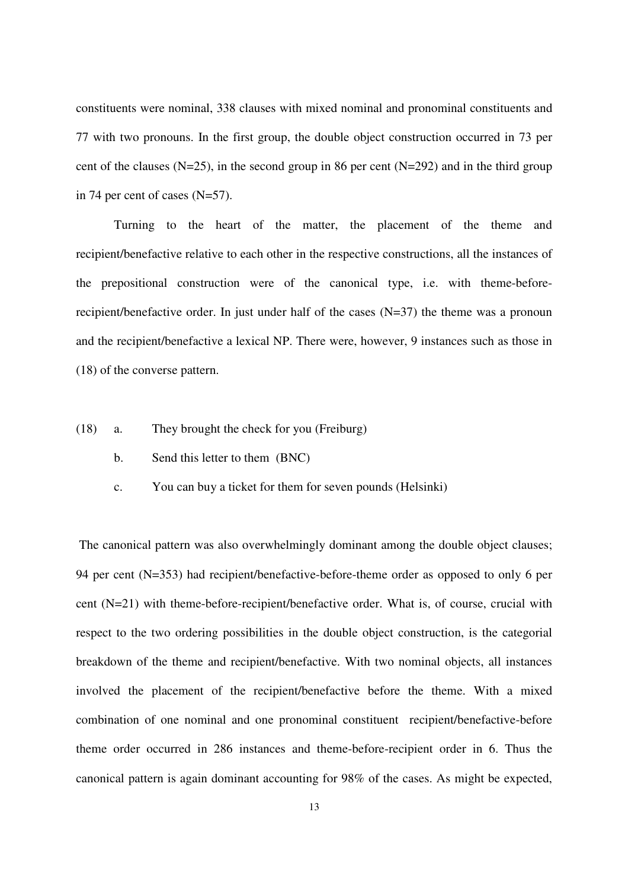constituents were nominal, 338 clauses with mixed nominal and pronominal constituents and 77 with two pronouns. In the first group, the double object construction occurred in 73 per cent of the clauses (N=25), in the second group in 86 per cent (N=292) and in the third group in 74 per cent of cases (N=57).

Turning to the heart of the matter, the placement of the theme and recipient/benefactive relative to each other in the respective constructions, all the instances of the prepositional construction were of the canonical type, i.e. with theme-beforerecipient/benefactive order. In just under half of the cases (N=37) the theme was a pronoun and the recipient/benefactive a lexical NP. There were, however, 9 instances such as those in (18) of the converse pattern.

- (18) a. They brought the check for you (Freiburg)
	- b. Send this letter to them (BNC)
	- c. You can buy a ticket for them for seven pounds (Helsinki)

The canonical pattern was also overwhelmingly dominant among the double object clauses; 94 per cent (N=353) had recipient/benefactive-before-theme order as opposed to only 6 per cent (N=21) with theme-before-recipient/benefactive order. What is, of course, crucial with respect to the two ordering possibilities in the double object construction, is the categorial breakdown of the theme and recipient/benefactive. With two nominal objects, all instances involved the placement of the recipient/benefactive before the theme. With a mixed combination of one nominal and one pronominal constituent recipient/benefactive-before theme order occurred in 286 instances and theme-before-recipient order in 6. Thus the canonical pattern is again dominant accounting for 98% of the cases. As might be expected,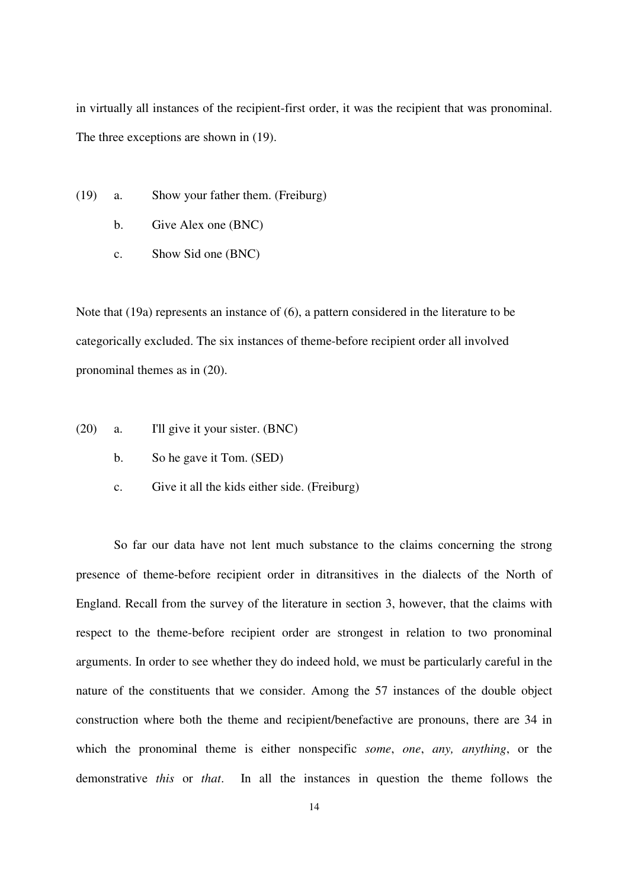in virtually all instances of the recipient-first order, it was the recipient that was pronominal. The three exceptions are shown in (19).

- (19) a. Show your father them. (Freiburg)
	- b. Give Alex one (BNC)
	- c. Show Sid one (BNC)

Note that (19a) represents an instance of (6), a pattern considered in the literature to be categorically excluded. The six instances of theme-before recipient order all involved pronominal themes as in (20).

- (20) a. I'll give it your sister. (BNC)
	- b. So he gave it Tom. (SED)
	- c. Give it all the kids either side. (Freiburg)

So far our data have not lent much substance to the claims concerning the strong presence of theme-before recipient order in ditransitives in the dialects of the North of England. Recall from the survey of the literature in section 3, however, that the claims with respect to the theme-before recipient order are strongest in relation to two pronominal arguments. In order to see whether they do indeed hold, we must be particularly careful in the nature of the constituents that we consider. Among the 57 instances of the double object construction where both the theme and recipient/benefactive are pronouns, there are 34 in which the pronominal theme is either nonspecific *some*, *one*, *any, anything*, or the demonstrative *this* or *that*. In all the instances in question the theme follows the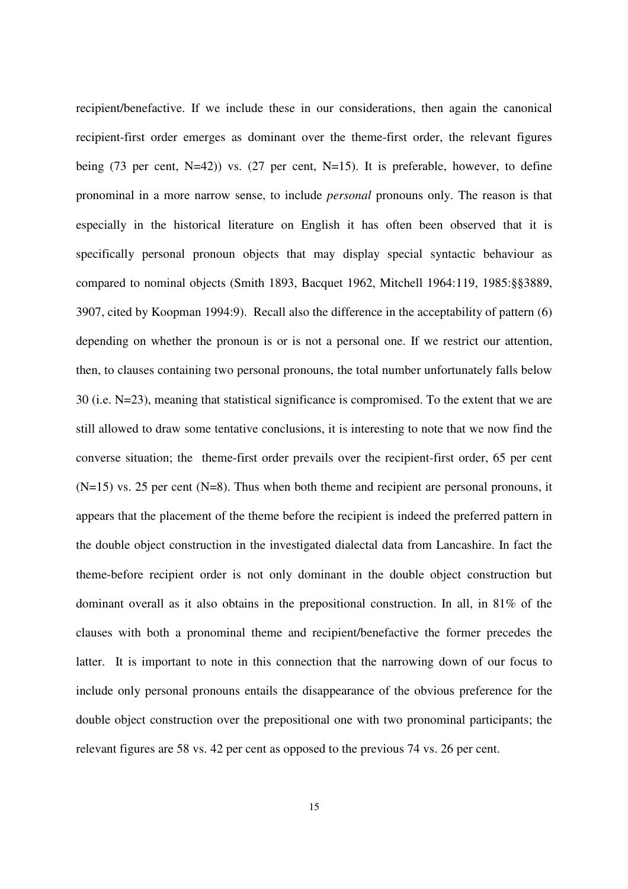recipient/benefactive. If we include these in our considerations, then again the canonical recipient-first order emerges as dominant over the theme-first order, the relevant figures being (73 per cent, N=42)) vs. (27 per cent, N=15). It is preferable, however, to define pronominal in a more narrow sense, to include *personal* pronouns only. The reason is that especially in the historical literature on English it has often been observed that it is specifically personal pronoun objects that may display special syntactic behaviour as compared to nominal objects (Smith 1893, Bacquet 1962, Mitchell 1964:119, 1985:§§3889, 3907, cited by Koopman 1994:9). Recall also the difference in the acceptability of pattern (6) depending on whether the pronoun is or is not a personal one. If we restrict our attention, then, to clauses containing two personal pronouns, the total number unfortunately falls below 30 (i.e. N=23), meaning that statistical significance is compromised. To the extent that we are still allowed to draw some tentative conclusions, it is interesting to note that we now find the converse situation; the theme-first order prevails over the recipient-first order, 65 per cent (N=15) vs. 25 per cent (N=8). Thus when both theme and recipient are personal pronouns, it appears that the placement of the theme before the recipient is indeed the preferred pattern in the double object construction in the investigated dialectal data from Lancashire. In fact the theme-before recipient order is not only dominant in the double object construction but dominant overall as it also obtains in the prepositional construction. In all, in 81% of the clauses with both a pronominal theme and recipient/benefactive the former precedes the latter. It is important to note in this connection that the narrowing down of our focus to include only personal pronouns entails the disappearance of the obvious preference for the double object construction over the prepositional one with two pronominal participants; the relevant figures are 58 vs. 42 per cent as opposed to the previous 74 vs. 26 per cent.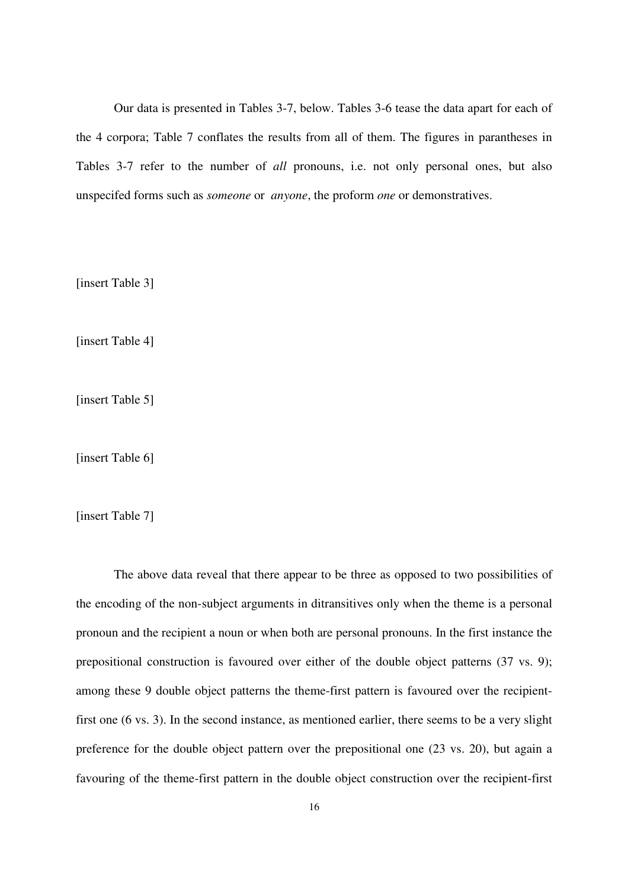Our data is presented in Tables 3-7, below. Tables 3-6 tease the data apart for each of the 4 corpora; Table 7 conflates the results from all of them. The figures in parantheses in Tables 3-7 refer to the number of *all* pronouns, i.e. not only personal ones, but also unspecifed forms such as *someone* or *anyone*, the proform *one* or demonstratives.

[insert Table 3]

[insert Table 4]

[insert Table 5]

[insert Table 6]

[insert Table 7]

The above data reveal that there appear to be three as opposed to two possibilities of the encoding of the non-subject arguments in ditransitives only when the theme is a personal pronoun and the recipient a noun or when both are personal pronouns. In the first instance the prepositional construction is favoured over either of the double object patterns (37 vs. 9); among these 9 double object patterns the theme-first pattern is favoured over the recipientfirst one (6 vs. 3). In the second instance, as mentioned earlier, there seems to be a very slight preference for the double object pattern over the prepositional one (23 vs. 20), but again a favouring of the theme-first pattern in the double object construction over the recipient-first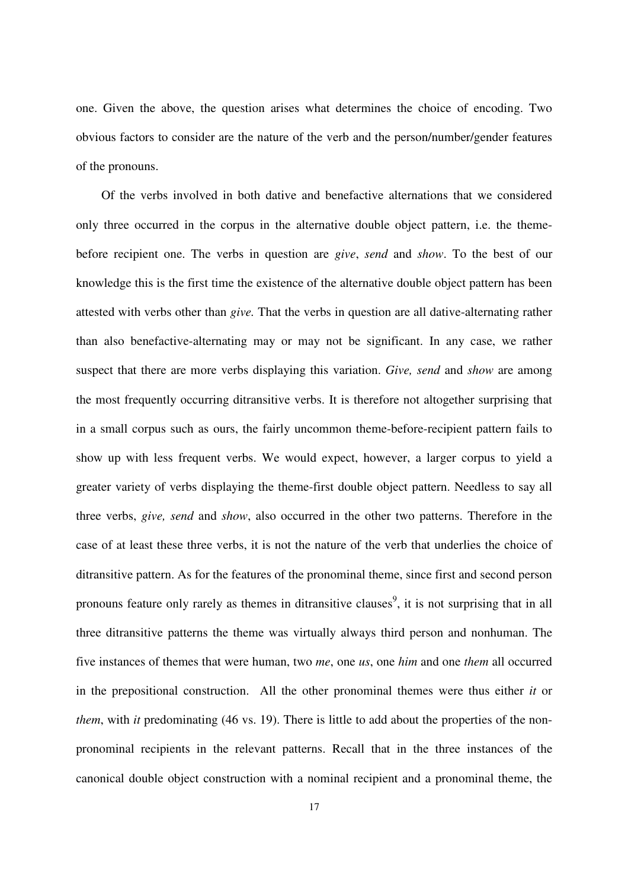one. Given the above, the question arises what determines the choice of encoding. Two obvious factors to consider are the nature of the verb and the person/number/gender features of the pronouns.

Of the verbs involved in both dative and benefactive alternations that we considered only three occurred in the corpus in the alternative double object pattern, i.e. the themebefore recipient one. The verbs in question are *give*, *send* and *show*. To the best of our knowledge this is the first time the existence of the alternative double object pattern has been attested with verbs other than *give.* That the verbs in question are all dative-alternating rather than also benefactive-alternating may or may not be significant. In any case, we rather suspect that there are more verbs displaying this variation. *Give, send* and *show* are among the most frequently occurring ditransitive verbs. It is therefore not altogether surprising that in a small corpus such as ours, the fairly uncommon theme-before-recipient pattern fails to show up with less frequent verbs. We would expect, however, a larger corpus to yield a greater variety of verbs displaying the theme-first double object pattern. Needless to say all three verbs, *give, send* and *show*, also occurred in the other two patterns. Therefore in the case of at least these three verbs, it is not the nature of the verb that underlies the choice of ditransitive pattern. As for the features of the pronominal theme, since first and second person pronouns feature only rarely as themes in ditransitive clauses<sup>9</sup>, it is not surprising that in all three ditransitive patterns the theme was virtually always third person and nonhuman. The five instances of themes that were human, two *me*, one *us*, one *him* and one *them* all occurred in the prepositional construction. All the other pronominal themes were thus either *it* or *them*, with *it* predominating (46 vs. 19). There is little to add about the properties of the nonpronominal recipients in the relevant patterns. Recall that in the three instances of the canonical double object construction with a nominal recipient and a pronominal theme, the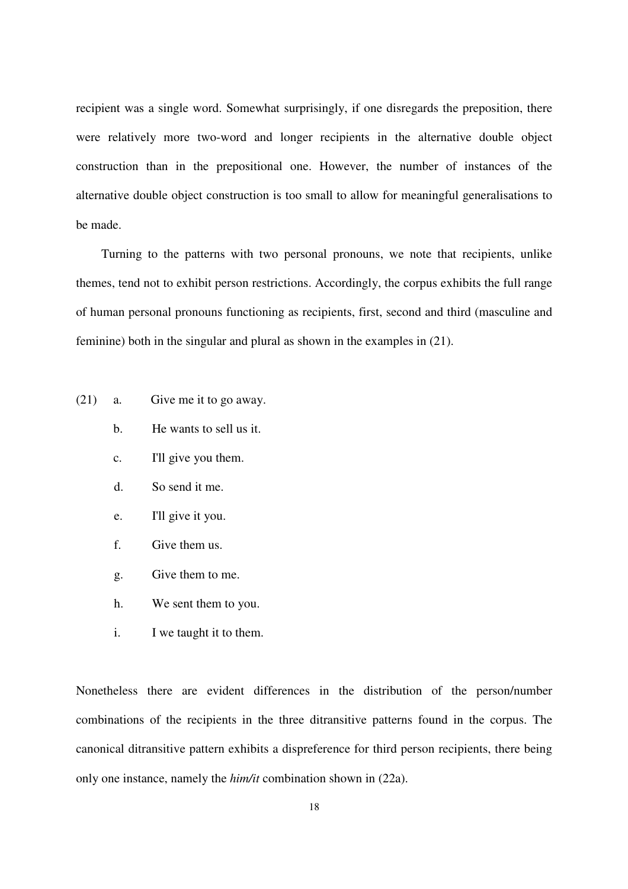recipient was a single word. Somewhat surprisingly, if one disregards the preposition, there were relatively more two-word and longer recipients in the alternative double object construction than in the prepositional one. However, the number of instances of the alternative double object construction is too small to allow for meaningful generalisations to be made.

Turning to the patterns with two personal pronouns, we note that recipients, unlike themes, tend not to exhibit person restrictions. Accordingly, the corpus exhibits the full range of human personal pronouns functioning as recipients, first, second and third (masculine and feminine) both in the singular and plural as shown in the examples in (21).

- (21) a. Give me it to go away.
	- b. He wants to sell us it.
	- c. I'll give you them.
	- d. So send it me.
	- e. I'll give it you.
	- f. Give them us.
	- g. Give them to me.
	- h. We sent them to you.
	- i. I we taught it to them.

Nonetheless there are evident differences in the distribution of the person/number combinations of the recipients in the three ditransitive patterns found in the corpus. The canonical ditransitive pattern exhibits a dispreference for third person recipients, there being only one instance, namely the *him/it* combination shown in (22a).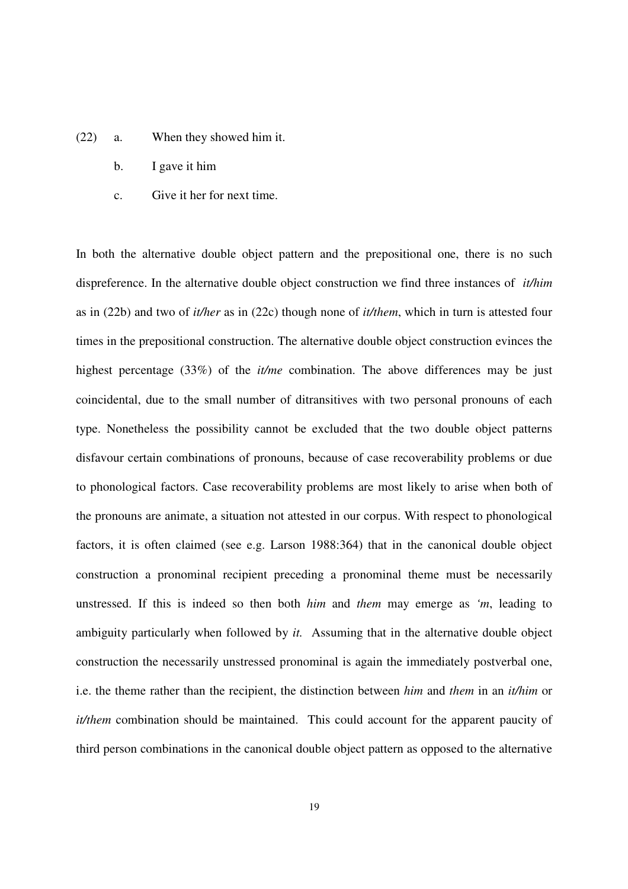- (22) a. When they showed him it.
	- b. I gave it him
	- c. Give it her for next time.

In both the alternative double object pattern and the prepositional one, there is no such dispreference. In the alternative double object construction we find three instances of *it/him* as in (22b) and two of *it/her* as in (22c) though none of *it/them*, which in turn is attested four times in the prepositional construction. The alternative double object construction evinces the highest percentage (33%) of the *it/me* combination. The above differences may be just coincidental, due to the small number of ditransitives with two personal pronouns of each type. Nonetheless the possibility cannot be excluded that the two double object patterns disfavour certain combinations of pronouns, because of case recoverability problems or due to phonological factors. Case recoverability problems are most likely to arise when both of the pronouns are animate, a situation not attested in our corpus. With respect to phonological factors, it is often claimed (see e.g. Larson 1988:364) that in the canonical double object construction a pronominal recipient preceding a pronominal theme must be necessarily unstressed. If this is indeed so then both *him* and *them* may emerge as *'m*, leading to ambiguity particularly when followed by *it.* Assuming that in the alternative double object construction the necessarily unstressed pronominal is again the immediately postverbal one, i.e. the theme rather than the recipient, the distinction between *him* and *them* in an *it/him* or *it/them* combination should be maintained. This could account for the apparent paucity of third person combinations in the canonical double object pattern as opposed to the alternative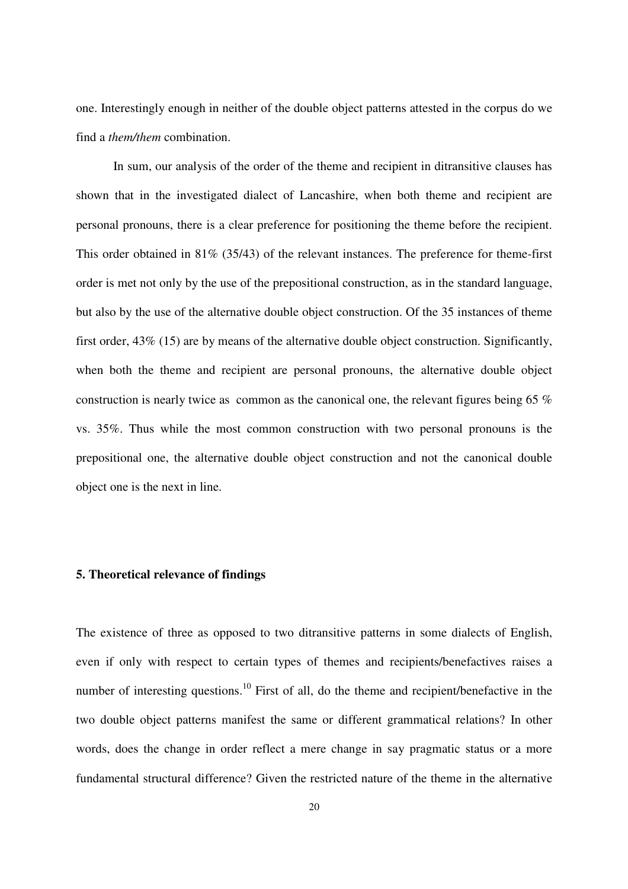one. Interestingly enough in neither of the double object patterns attested in the corpus do we find a *them/them* combination.

In sum, our analysis of the order of the theme and recipient in ditransitive clauses has shown that in the investigated dialect of Lancashire, when both theme and recipient are personal pronouns, there is a clear preference for positioning the theme before the recipient. This order obtained in 81% (35/43) of the relevant instances. The preference for theme-first order is met not only by the use of the prepositional construction, as in the standard language, but also by the use of the alternative double object construction. Of the 35 instances of theme first order, 43% (15) are by means of the alternative double object construction. Significantly, when both the theme and recipient are personal pronouns, the alternative double object construction is nearly twice as common as the canonical one, the relevant figures being 65 % vs. 35%. Thus while the most common construction with two personal pronouns is the prepositional one, the alternative double object construction and not the canonical double object one is the next in line.

#### **5. Theoretical relevance of findings**

The existence of three as opposed to two ditransitive patterns in some dialects of English, even if only with respect to certain types of themes and recipients/benefactives raises a number of interesting questions.<sup>10</sup> First of all, do the theme and recipient/benefactive in the two double object patterns manifest the same or different grammatical relations? In other words, does the change in order reflect a mere change in say pragmatic status or a more fundamental structural difference? Given the restricted nature of the theme in the alternative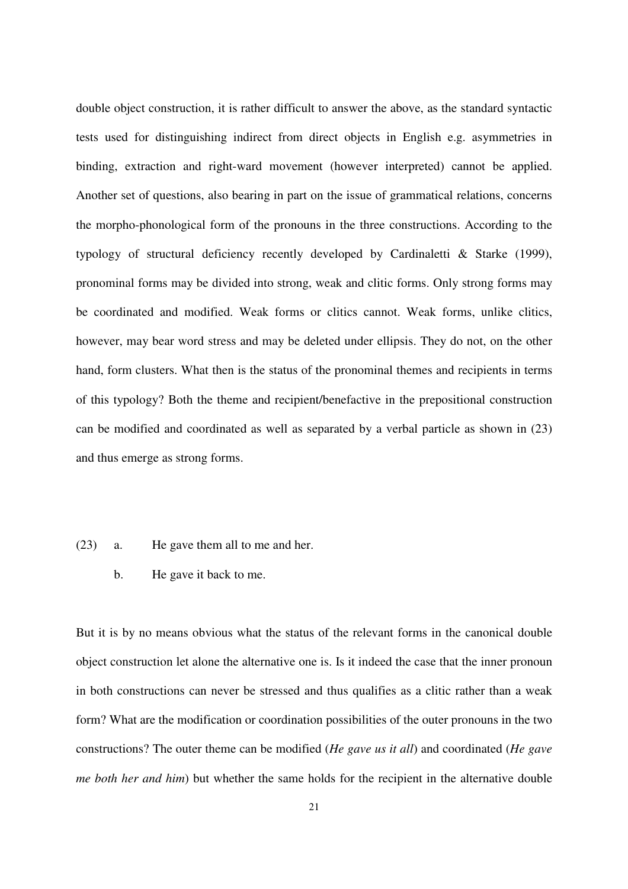double object construction, it is rather difficult to answer the above, as the standard syntactic tests used for distinguishing indirect from direct objects in English e.g. asymmetries in binding, extraction and right-ward movement (however interpreted) cannot be applied. Another set of questions, also bearing in part on the issue of grammatical relations, concerns the morpho-phonological form of the pronouns in the three constructions. According to the typology of structural deficiency recently developed by Cardinaletti & Starke (1999), pronominal forms may be divided into strong, weak and clitic forms. Only strong forms may be coordinated and modified. Weak forms or clitics cannot. Weak forms, unlike clitics, however, may bear word stress and may be deleted under ellipsis. They do not, on the other hand, form clusters. What then is the status of the pronominal themes and recipients in terms of this typology? Both the theme and recipient/benefactive in the prepositional construction can be modified and coordinated as well as separated by a verbal particle as shown in (23) and thus emerge as strong forms.

- (23) a. He gave them all to me and her.
	- b. He gave it back to me.

But it is by no means obvious what the status of the relevant forms in the canonical double object construction let alone the alternative one is. Is it indeed the case that the inner pronoun in both constructions can never be stressed and thus qualifies as a clitic rather than a weak form? What are the modification or coordination possibilities of the outer pronouns in the two constructions? The outer theme can be modified (*He gave us it all*) and coordinated (*He gave me both her and him*) but whether the same holds for the recipient in the alternative double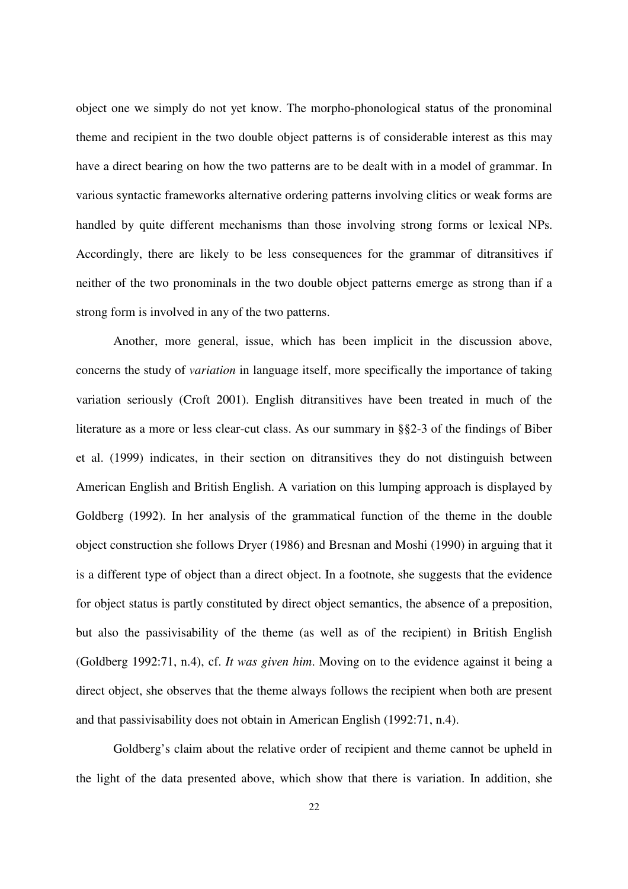object one we simply do not yet know. The morpho-phonological status of the pronominal theme and recipient in the two double object patterns is of considerable interest as this may have a direct bearing on how the two patterns are to be dealt with in a model of grammar. In various syntactic frameworks alternative ordering patterns involving clitics or weak forms are handled by quite different mechanisms than those involving strong forms or lexical NPs. Accordingly, there are likely to be less consequences for the grammar of ditransitives if neither of the two pronominals in the two double object patterns emerge as strong than if a strong form is involved in any of the two patterns.

Another, more general, issue, which has been implicit in the discussion above, concerns the study of *variation* in language itself, more specifically the importance of taking variation seriously (Croft 2001). English ditransitives have been treated in much of the literature as a more or less clear-cut class. As our summary in §§2-3 of the findings of Biber et al. (1999) indicates, in their section on ditransitives they do not distinguish between American English and British English. A variation on this lumping approach is displayed by Goldberg (1992). In her analysis of the grammatical function of the theme in the double object construction she follows Dryer (1986) and Bresnan and Moshi (1990) in arguing that it is a different type of object than a direct object. In a footnote, she suggests that the evidence for object status is partly constituted by direct object semantics, the absence of a preposition, but also the passivisability of the theme (as well as of the recipient) in British English (Goldberg 1992:71, n.4), cf. *It was given him*. Moving on to the evidence against it being a direct object, she observes that the theme always follows the recipient when both are present and that passivisability does not obtain in American English (1992:71, n.4).

Goldberg's claim about the relative order of recipient and theme cannot be upheld in the light of the data presented above, which show that there is variation. In addition, she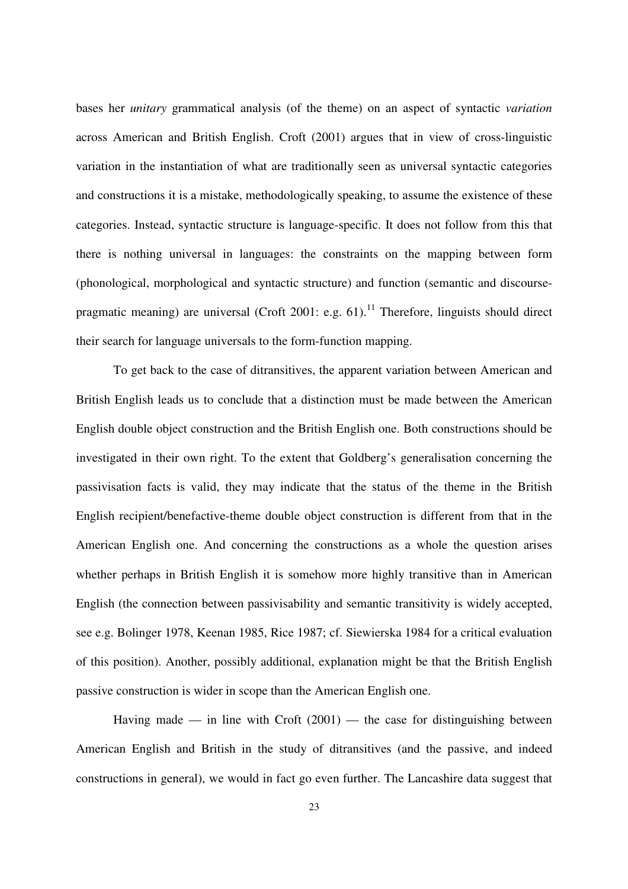bases her *unitary* grammatical analysis (of the theme) on an aspect of syntactic *variation* across American and British English. Croft (2001) argues that in view of cross-linguistic variation in the instantiation of what are traditionally seen as universal syntactic categories and constructions it is a mistake, methodologically speaking, to assume the existence of these categories. Instead, syntactic structure is language-specific. It does not follow from this that there is nothing universal in languages: the constraints on the mapping between form (phonological, morphological and syntactic structure) and function (semantic and discoursepragmatic meaning) are universal (Croft 2001: e.g. 61).<sup>11</sup> Therefore, linguists should direct their search for language universals to the form-function mapping.

To get back to the case of ditransitives, the apparent variation between American and British English leads us to conclude that a distinction must be made between the American English double object construction and the British English one. Both constructions should be investigated in their own right. To the extent that Goldberg's generalisation concerning the passivisation facts is valid, they may indicate that the status of the theme in the British English recipient/benefactive-theme double object construction is different from that in the American English one. And concerning the constructions as a whole the question arises whether perhaps in British English it is somehow more highly transitive than in American English (the connection between passivisability and semantic transitivity is widely accepted, see e.g. Bolinger 1978, Keenan 1985, Rice 1987; cf. Siewierska 1984 for a critical evaluation of this position). Another, possibly additional, explanation might be that the British English passive construction is wider in scope than the American English one.

Having made — in line with Croft  $(2001)$  — the case for distinguishing between American English and British in the study of ditransitives (and the passive, and indeed constructions in general), we would in fact go even further. The Lancashire data suggest that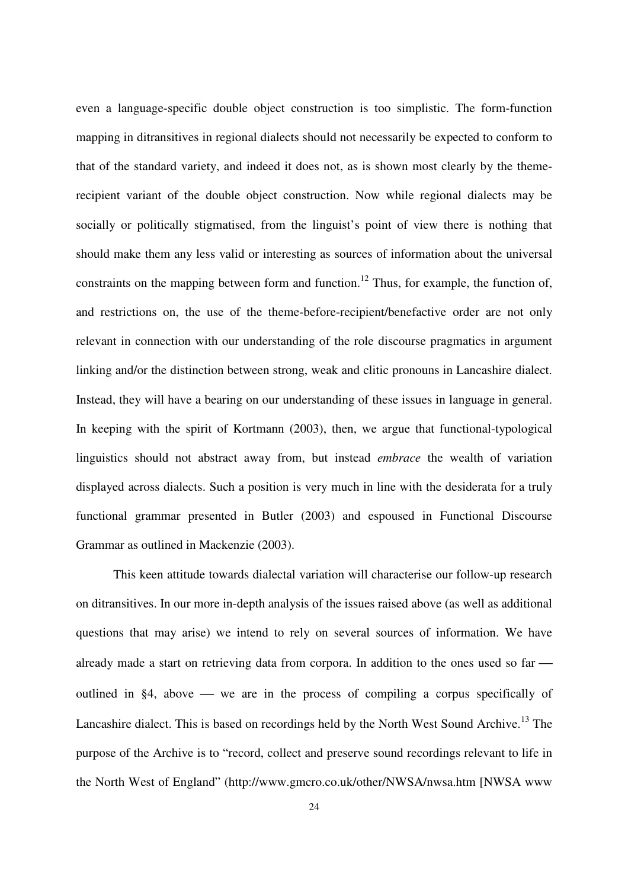even a language-specific double object construction is too simplistic. The form-function mapping in ditransitives in regional dialects should not necessarily be expected to conform to that of the standard variety, and indeed it does not, as is shown most clearly by the themerecipient variant of the double object construction. Now while regional dialects may be socially or politically stigmatised, from the linguist's point of view there is nothing that should make them any less valid or interesting as sources of information about the universal constraints on the mapping between form and function.<sup>12</sup> Thus, for example, the function of, and restrictions on, the use of the theme-before-recipient/benefactive order are not only relevant in connection with our understanding of the role discourse pragmatics in argument linking and/or the distinction between strong, weak and clitic pronouns in Lancashire dialect. Instead, they will have a bearing on our understanding of these issues in language in general. In keeping with the spirit of Kortmann (2003), then, we argue that functional-typological linguistics should not abstract away from, but instead *embrace* the wealth of variation displayed across dialects. Such a position is very much in line with the desiderata for a truly functional grammar presented in Butler (2003) and espoused in Functional Discourse Grammar as outlined in Mackenzie (2003).

This keen attitude towards dialectal variation will characterise our follow-up research on ditransitives. In our more in-depth analysis of the issues raised above (as well as additional questions that may arise) we intend to rely on several sources of information. We have already made a start on retrieving data from corpora. In addition to the ones used so far outlined in  $§4$ , above — we are in the process of compiling a corpus specifically of Lancashire dialect. This is based on recordings held by the North West Sound Archive.<sup>13</sup> The purpose of the Archive is to "record, collect and preserve sound recordings relevant to life in the North West of England" (http://www.gmcro.co.uk/other/NWSA/nwsa.htm [NWSA www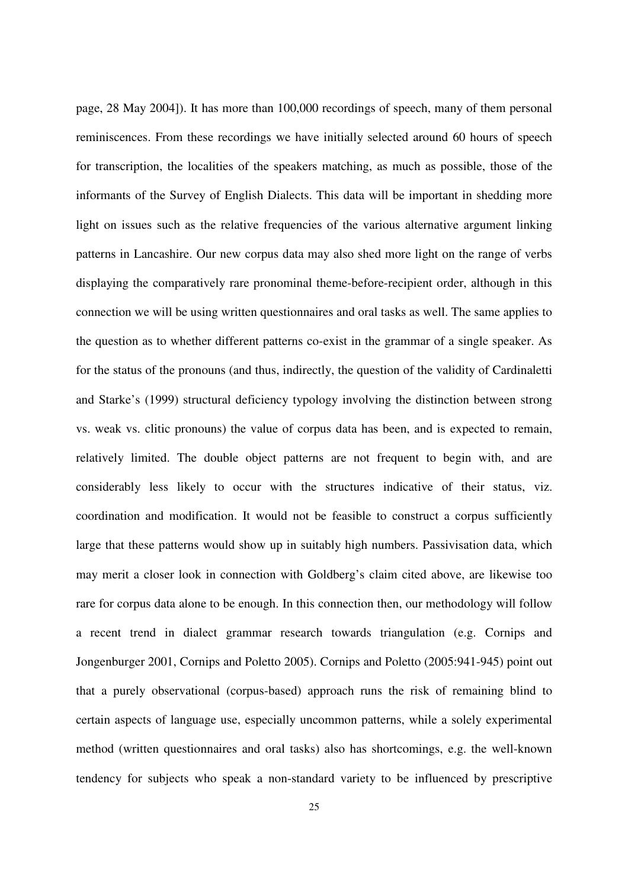page, 28 May 2004]). It has more than 100,000 recordings of speech, many of them personal reminiscences. From these recordings we have initially selected around 60 hours of speech for transcription, the localities of the speakers matching, as much as possible, those of the informants of the Survey of English Dialects. This data will be important in shedding more light on issues such as the relative frequencies of the various alternative argument linking patterns in Lancashire. Our new corpus data may also shed more light on the range of verbs displaying the comparatively rare pronominal theme-before-recipient order, although in this connection we will be using written questionnaires and oral tasks as well. The same applies to the question as to whether different patterns co-exist in the grammar of a single speaker. As for the status of the pronouns (and thus, indirectly, the question of the validity of Cardinaletti and Starke's (1999) structural deficiency typology involving the distinction between strong vs. weak vs. clitic pronouns) the value of corpus data has been, and is expected to remain, relatively limited. The double object patterns are not frequent to begin with, and are considerably less likely to occur with the structures indicative of their status, viz. coordination and modification. It would not be feasible to construct a corpus sufficiently large that these patterns would show up in suitably high numbers. Passivisation data, which may merit a closer look in connection with Goldberg's claim cited above, are likewise too rare for corpus data alone to be enough. In this connection then, our methodology will follow a recent trend in dialect grammar research towards triangulation (e.g. Cornips and Jongenburger 2001, Cornips and Poletto 2005). Cornips and Poletto (2005:941-945) point out that a purely observational (corpus-based) approach runs the risk of remaining blind to certain aspects of language use, especially uncommon patterns, while a solely experimental method (written questionnaires and oral tasks) also has shortcomings, e.g. the well-known tendency for subjects who speak a non-standard variety to be influenced by prescriptive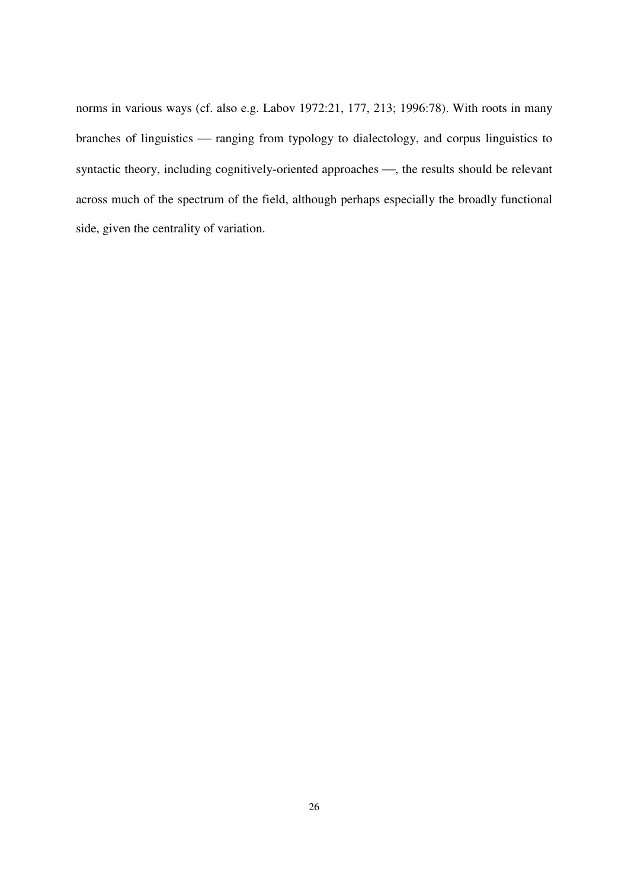norms in various ways (cf. also e.g. Labov 1972:21, 177, 213; 1996:78). With roots in many branches of linguistics — ranging from typology to dialectology, and corpus linguistics to syntactic theory, including cognitively-oriented approaches —, the results should be relevant across much of the spectrum of the field, although perhaps especially the broadly functional side, given the centrality of variation.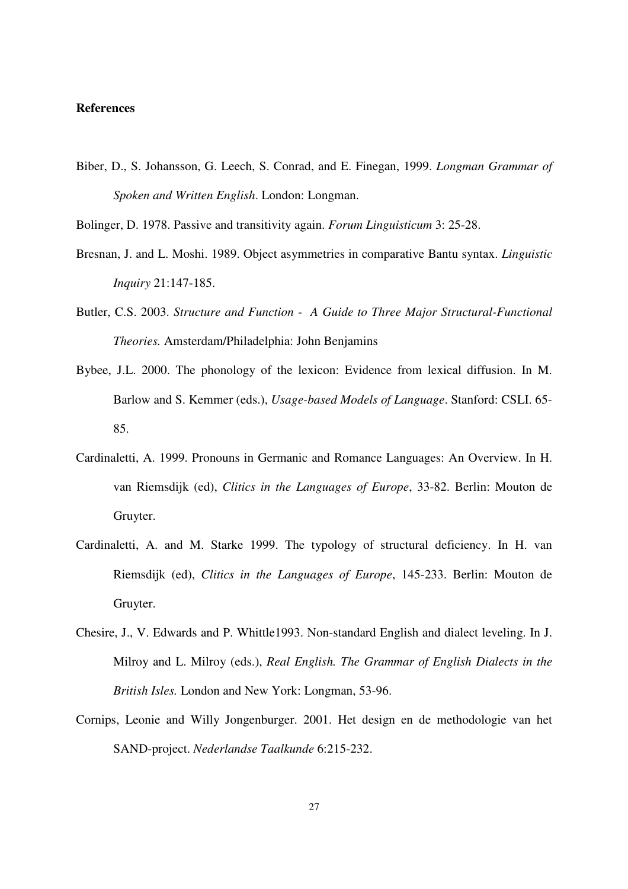#### **References**

Biber, D., S. Johansson, G. Leech, S. Conrad, and E. Finegan, 1999. *Longman Grammar of Spoken and Written English*. London: Longman.

Bolinger, D. 1978. Passive and transitivity again. *Forum Linguisticum* 3: 25-28.

- Bresnan, J. and L. Moshi. 1989. Object asymmetries in comparative Bantu syntax. *Linguistic Inquiry* 21:147-185.
- Butler, C.S. 2003. *Structure and Function - A Guide to Three Major Structural-Functional Theories.* Amsterdam/Philadelphia: John Benjamins
- Bybee, J.L. 2000. The phonology of the lexicon: Evidence from lexical diffusion. In M. Barlow and S. Kemmer (eds.), *Usage-based Models of Language*. Stanford: CSLI. 65- 85.
- Cardinaletti, A. 1999. Pronouns in Germanic and Romance Languages: An Overview. In H. van Riemsdijk (ed), *Clitics in the Languages of Europe*, 33-82. Berlin: Mouton de Gruyter.
- Cardinaletti, A. and M. Starke 1999. The typology of structural deficiency. In H. van Riemsdijk (ed), *Clitics in the Languages of Europe*, 145-233. Berlin: Mouton de Gruyter.
- Chesire, J., V. Edwards and P. Whittle1993. Non-standard English and dialect leveling. In J. Milroy and L. Milroy (eds.), *Real English. The Grammar of English Dialects in the British Isles.* London and New York: Longman, 53-96.
- Cornips, Leonie and Willy Jongenburger. 2001. Het design en de methodologie van het SAND-project. *Nederlandse Taalkunde* 6:215-232.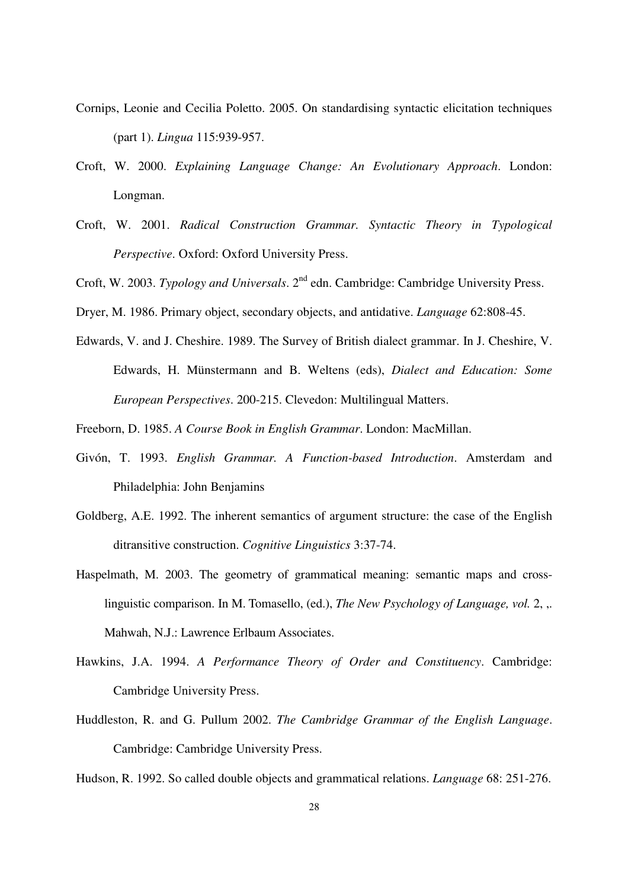- Cornips, Leonie and Cecilia Poletto. 2005. On standardising syntactic elicitation techniques (part 1). *Lingua* 115:939-957.
- Croft, W. 2000. *Explaining Language Change: An Evolutionary Approach*. London: Longman.
- Croft, W. 2001. *Radical Construction Grammar. Syntactic Theory in Typological Perspective*. Oxford: Oxford University Press.
- Croft, W. 2003. Typology and Universals. 2<sup>nd</sup> edn. Cambridge: Cambridge University Press.
- Dryer, M. 1986. Primary object, secondary objects, and antidative. *Language* 62:808-45.
- Edwards, V. and J. Cheshire. 1989. The Survey of British dialect grammar. In J. Cheshire, V. Edwards, H. Münstermann and B. Weltens (eds), *Dialect and Education: Some European Perspectives*. 200-215. Clevedon: Multilingual Matters.

Freeborn, D. 1985. *A Course Book in English Grammar*. London: MacMillan.

- Givón, T. 1993. *English Grammar. A Function-based Introduction*. Amsterdam and Philadelphia: John Benjamins
- Goldberg, A.E. 1992. The inherent semantics of argument structure: the case of the English ditransitive construction. *Cognitive Linguistics* 3:37-74.
- Haspelmath, M. 2003. The geometry of grammatical meaning: semantic maps and crosslinguistic comparison. In M. Tomasello, (ed.), *The New Psychology of Language, vol.* 2, ,. Mahwah, N.J.: Lawrence Erlbaum Associates.
- Hawkins, J.A. 1994. *A Performance Theory of Order and Constituency*. Cambridge: Cambridge University Press.
- Huddleston, R. and G. Pullum 2002. *The Cambridge Grammar of the English Language*. Cambridge: Cambridge University Press.
- Hudson, R. 1992. So called double objects and grammatical relations. *Language* 68: 251-276.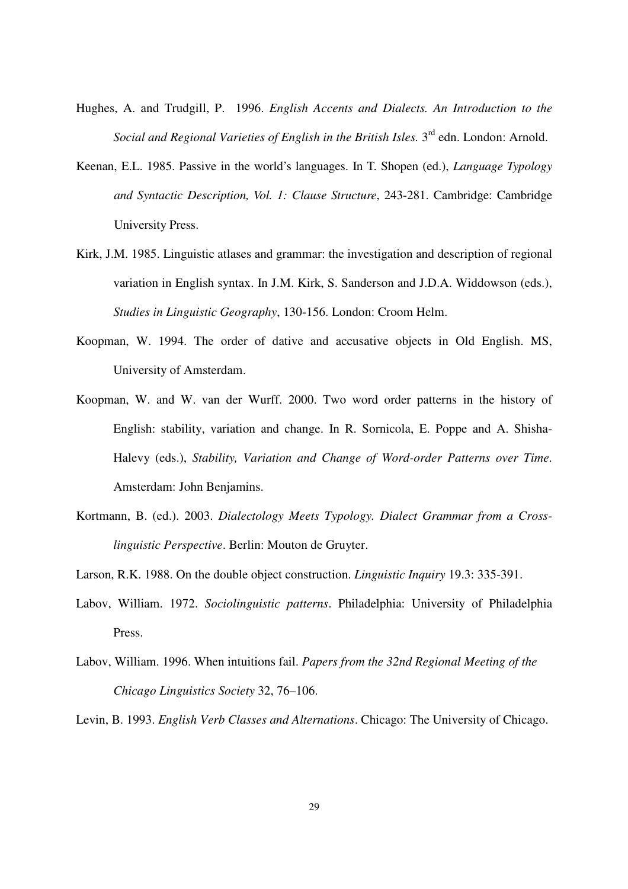- Hughes, A. and Trudgill, P. 1996. *English Accents and Dialects. An Introduction to the Social and Regional Varieties of English in the British Isles.* 3 rd edn. London: Arnold.
- Keenan, E.L. 1985. Passive in the world's languages. In T. Shopen (ed.), *Language Typology and Syntactic Description, Vol. 1: Clause Structure*, 243-281. Cambridge: Cambridge University Press.
- Kirk, J.M. 1985. Linguistic atlases and grammar: the investigation and description of regional variation in English syntax. In J.M. Kirk, S. Sanderson and J.D.A. Widdowson (eds.), *Studies in Linguistic Geography*, 130-156. London: Croom Helm.
- Koopman, W. 1994. The order of dative and accusative objects in Old English. MS, University of Amsterdam.
- Koopman, W. and W. van der Wurff. 2000. Two word order patterns in the history of English: stability, variation and change. In R. Sornicola, E. Poppe and A. Shisha-Halevy (eds.), *Stability, Variation and Change of Word-order Patterns over Time*. Amsterdam: John Benjamins.
- Kortmann, B. (ed.). 2003. *Dialectology Meets Typology. Dialect Grammar from a Crosslinguistic Perspective*. Berlin: Mouton de Gruyter.
- Larson, R.K. 1988. On the double object construction. *Linguistic Inquiry* 19.3: 335-391.
- Labov, William. 1972. *Sociolinguistic patterns*. Philadelphia: University of Philadelphia Press.
- Labov, William. 1996. When intuitions fail. *Papers from the 32nd Regional Meeting of the Chicago Linguistics Society* 32, 76–106.

Levin, B. 1993. *English Verb Classes and Alternations*. Chicago: The University of Chicago.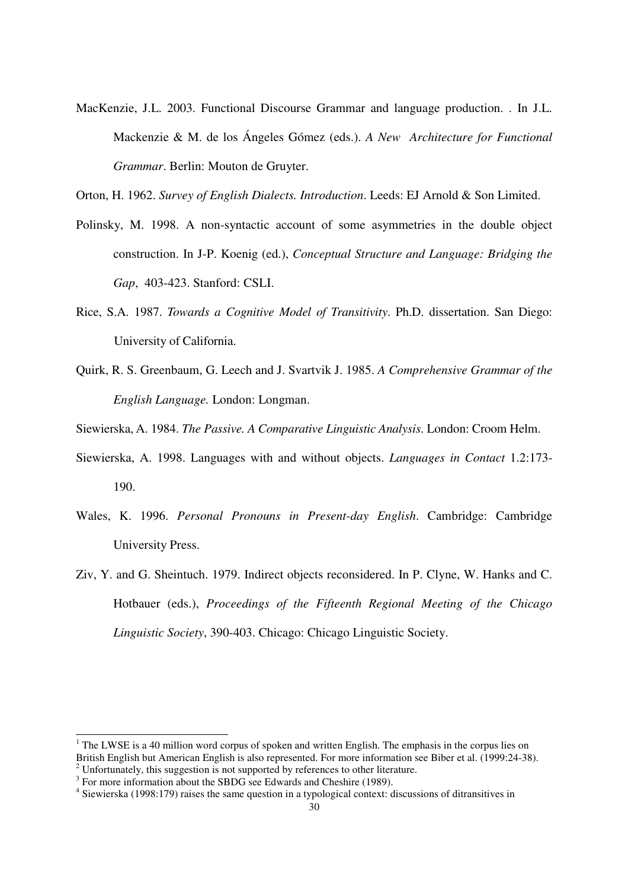MacKenzie, J.L. 2003. Functional Discourse Grammar and language production. . In J.L. Mackenzie & M. de los Ángeles Gómez (eds.). *A New Architecture for Functional Grammar*. Berlin: Mouton de Gruyter.

Orton, H. 1962. *Survey of English Dialects. Introduction*. Leeds: EJ Arnold & Son Limited.

- Polinsky, M. 1998. A non-syntactic account of some asymmetries in the double object construction. In J-P. Koenig (ed.), *Conceptual Structure and Language: Bridging the Gap*, 403-423. Stanford: CSLI.
- Rice, S.A. 1987. *Towards a Cognitive Model of Transitivity*. Ph.D. dissertation. San Diego: University of California.
- Quirk, R. S. Greenbaum, G. Leech and J. Svartvik J. 1985. *A Comprehensive Grammar of the English Language.* London: Longman.

Siewierska, A. 1984. *The Passive. A Comparative Linguistic Analysis*. London: Croom Helm.

- Siewierska, A. 1998. Languages with and without objects. *Languages in Contact* 1.2:173- 190.
- Wales, K. 1996. *Personal Pronouns in Present-day English*. Cambridge: Cambridge University Press.
- Ziv, Y. and G. Sheintuch. 1979. Indirect objects reconsidered. In P. Clyne, W. Hanks and C. Hotbauer (eds.), *Proceedings of the Fifteenth Regional Meeting of the Chicago Linguistic Society*, 390-403. Chicago: Chicago Linguistic Society.

<sup>&</sup>lt;sup>1</sup> The LWSE is a 40 million word corpus of spoken and written English. The emphasis in the corpus lies on British English but American English is also represented. For more information see Biber et al. (1999:24-38). <sup>2</sup> Unfortunately, this suggestion is not supported by references to other literature.

<sup>&</sup>lt;sup>3</sup> For more information about the SBDG see Edwards and Cheshire (1989).

<sup>&</sup>lt;sup>4</sup> Siewierska (1998:179) raises the same question in a typological context: discussions of ditransitives in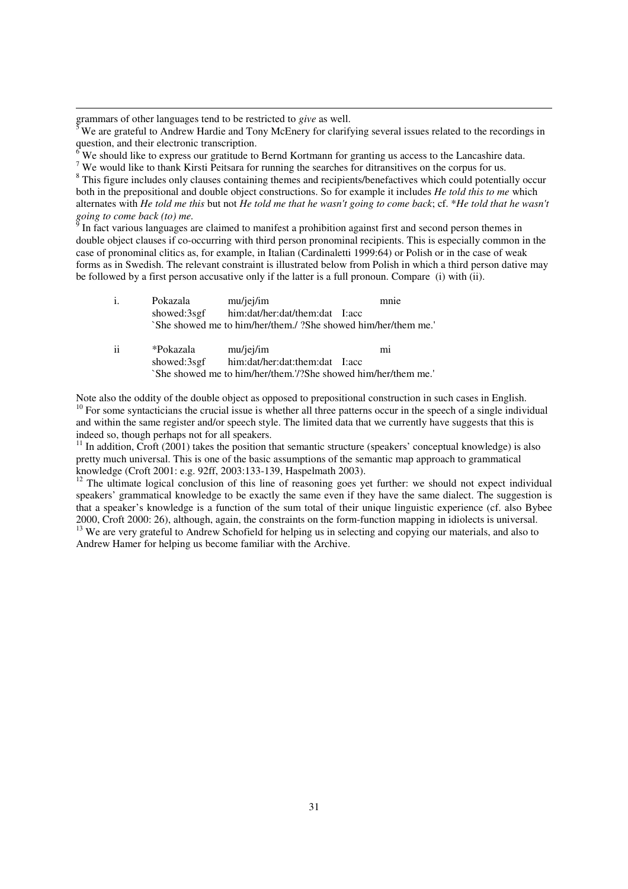grammars of other languages tend to be restricted to *give* as well.

We are grateful to Andrew Hardie and Tony McEnery for clarifying several issues related to the recordings in question, and their electronic transcription.

 $\sqrt{6}$  We should like to express our gratitude to Bernd Kortmann for granting us access to the Lancashire data.

<sup>7</sup> We would like to thank Kirsti Peitsara for running the searches for ditransitives on the corpus for us.

<sup>8</sup> This figure includes only clauses containing themes and recipients/benefactives which could potentially occur both in the prepositional and double object constructions. So for example it includes *He told this to me* which alternates with He told me this but not He told me that he wasn't going to come back; cf. \*He told that he wasn't *going to come back (to) me.* 9 In fact various languages are claimed to manifest a prohibition against first and second person themes in

double object clauses if co-occurring with third person pronominal recipients. This is especially common in the case of pronominal clitics as, for example, in Italian (Cardinaletti 1999:64) or Polish or in the case of weak forms as in Swedish. The relevant constraint is illustrated below from Polish in which a third person dative may be followed by a first person accusative only if the latter is a full pronoun. Compare (i) with (ii).

| i. | Pokazala    | mu/iej/im                                                      | mnie |
|----|-------------|----------------------------------------------------------------|------|
|    | showed:3sgf | him:dat/her:dat/them:dat I:acc                                 |      |
|    |             | 'She showed me to him/her/them./ ?She showed him/her/them me.' |      |
| ii | *Pokazala   | mu/iej/im                                                      | m1   |
|    | showed:3sgf | him:dat/her:dat:them:dat I:acc                                 |      |
|    |             | 'She showed me to him/her/them.'/?She showed him/her/them me.' |      |

Note also the oddity of the double object as opposed to prepositional construction in such cases in English. <sup>10</sup> For some syntacticians the crucial issue is whether all three patterns occur in the speech of a single individual and within the same register and/or speech style. The limited data that we currently have suggests that this is indeed so, though perhaps not for all speakers.

 $11$  In addition, Croft (2001) takes the position that semantic structure (speakers' conceptual knowledge) is also pretty much universal. This is one of the basic assumptions of the semantic map approach to grammatical knowledge (Croft 2001: e.g. 92ff, 2003:133-139, Haspelmath 2003).

<sup>12</sup> The ultimate logical conclusion of this line of reasoning goes yet further: we should not expect individual speakers' grammatical knowledge to be exactly the same even if they have the same dialect. The suggestion is that a speaker's knowledge is a function of the sum total of their unique linguistic experience (cf. also Bybee 2000, Croft 2000: 26), although, again, the constraints on the form-function mapping in idiolects is universal. <sup>13</sup> We are very grateful to Andrew Schofield for helping us in selecting and copying our materials, and also to Andrew Hamer for helping us become familiar with the Archive.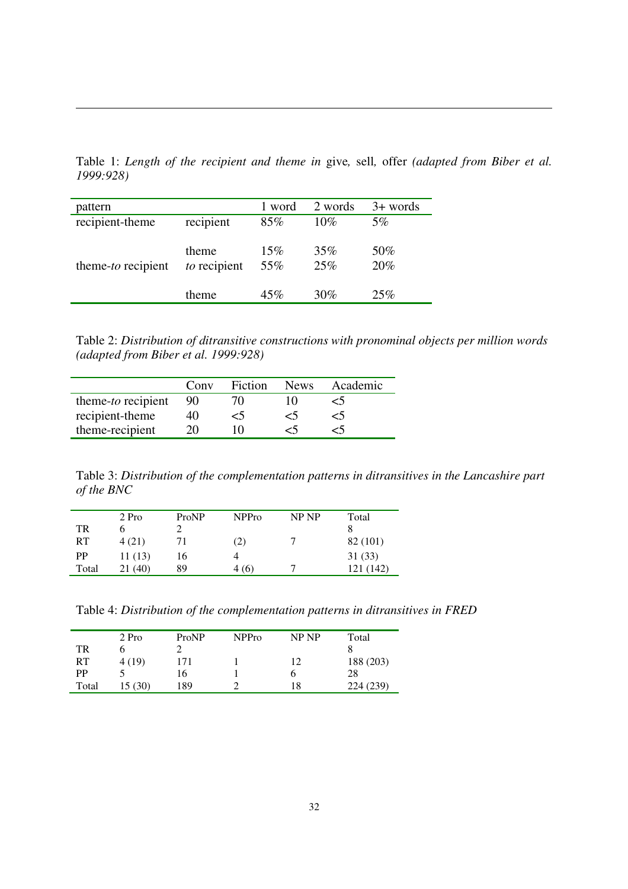Table 1: *Length of the recipient and theme in* give*,* sell*,* offer *(adapted from Biber et al. 1999:928)*

| pattern            |              | 1 word | 2 words | 3+ words |
|--------------------|--------------|--------|---------|----------|
| recipient-theme    | recipient    | 85%    | 10%     | 5%       |
|                    |              |        |         |          |
|                    | theme        | 15%    | 35%     | 50%      |
| theme-to recipient | to recipient | 55%    | 25%     | 20%      |
|                    |              |        |         |          |
|                    | theme        | 45%    | 30%     | 25%      |
|                    |              |        |         |          |

Table 2: *Distribution of ditransitive constructions with pronominal objects per million words (adapted from Biber et al. 1999:928)*

|                    | Conv | Fiction | <b>News</b> | Academic |
|--------------------|------|---------|-------------|----------|
| theme-to recipient | 90   |         |             |          |
| recipient-theme    | 40   | <5      | ເາ          |          |
| theme-recipient    | 20   |         |             |          |

Table 3: *Distribution of the complementation patterns in ditransitives in the Lancashire part of the BNC*

|           | 2 Pro   | ProNP | <b>NPPro</b> | NP NP | Total     |
|-----------|---------|-------|--------------|-------|-----------|
| TR        | n       |       |              |       |           |
| <b>RT</b> | 4 (21)  | 71    | (2)          |       | 82 (101)  |
| PP        | 11 (13) | 16    | 4            |       | 31(33)    |
| Total     | 21 (40) | 89    | 4 (6)        |       | 121 (142) |

Table 4: *Distribution of the complementation patterns in ditransitives in FRED*

|           | 2 Pro   | ProNP | <b>NPPro</b> | NP NP | Total     |
|-----------|---------|-------|--------------|-------|-----------|
| <b>TR</b> |         |       |              |       |           |
| RT        | 4 (19)  | 171   |              | 12    | 188 (203) |
| PP        |         | 16    |              | n     | 28        |
| Total     | 15 (30) | 189   |              | 18    | 224 (239) |